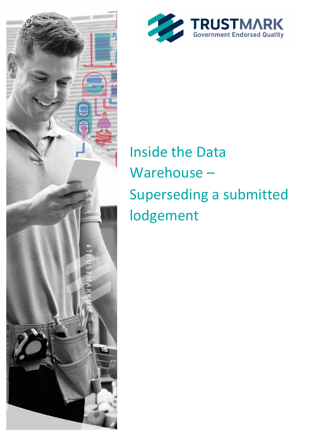



# **Inside the Data** Warehouse-Superseding a submitted lodgement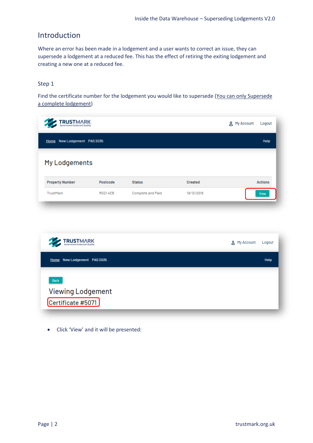## Introduction

Where an error has been made in a lodgement and a user wants to correct an issue, they can supersede a lodgement at a reduced fee. This has the effect of retiring the exiting lodgement and creating a new one at a reduced fee.

#### Step 1

Find the certificate number for the lodgement you would like to supersede (You can only Supersede a complete lodgement)

| <b>TRUSTMARK</b><br>Government Endorsed Quality |                |                   |                | g My Account<br>Logout |
|-------------------------------------------------|----------------|-------------------|----------------|------------------------|
| Home New Lodgement PAS 2035                     |                |                   |                | Help                   |
| My Lodgements                                   |                |                   |                |                        |
| <b>Property Number</b>                          | Postcode       | <b>Status</b>     | <b>Created</b> | <b>Actions</b>         |
| TrustMark                                       | <b>RG214EB</b> | Complete and Paid | 19/12/2019     | View                   |



• Click 'View' and it will be presented: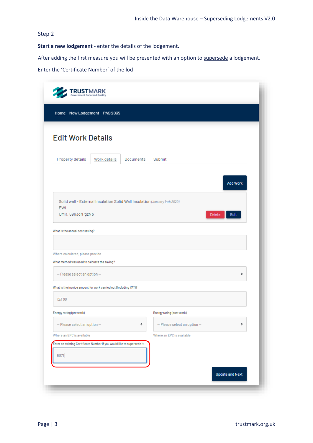### Step 2

**Start a new lodgement** - enter the details of the lodgement.

After adding the first measure you will be presented with an option to supersede a lodgement.

Enter the 'Certificate Number' of the lod

| <b>TRUSTMARK</b>                                                                                             |              |           |                                 |                       |
|--------------------------------------------------------------------------------------------------------------|--------------|-----------|---------------------------------|-----------------------|
| Home New Lodgement PAS 2035                                                                                  |              |           |                                 |                       |
| <b>Edit Work Details</b>                                                                                     |              |           |                                 |                       |
| Property details                                                                                             | Work details | Documents | Submit                          |                       |
|                                                                                                              |              |           |                                 | <b>Add Work</b>       |
| Solid wall - External Insulation Solid Wall Insulation (January 14th 2020)<br><b>EWI</b><br>UMR: 69n3drPgzNb |              |           |                                 | Delete<br><b>Edit</b> |
| What is the annual cost saving?                                                                              |              |           |                                 |                       |
| Where calculated, please provide                                                                             |              |           |                                 |                       |
| What method was used to calcuate the saving?                                                                 |              |           |                                 |                       |
| - Please select an option-                                                                                   |              |           |                                 | ÷                     |
| What is the invoice amount for work carried out (Including VAT)?                                             |              |           |                                 |                       |
| 123.99                                                                                                       |              |           |                                 |                       |
| Energy rating (pre work)                                                                                     |              |           | Energy rating (post work)       |                       |
| $-$ Please select an option $-$                                                                              |              | ٠         | $-$ Please select an option $-$ | ÷                     |
| Where an EPC is available                                                                                    |              |           | Where an EPC is available       |                       |
| Enter an existing Certificate Number if you would like to supersede it-<br>5071                              |              |           |                                 |                       |
|                                                                                                              |              |           |                                 |                       |